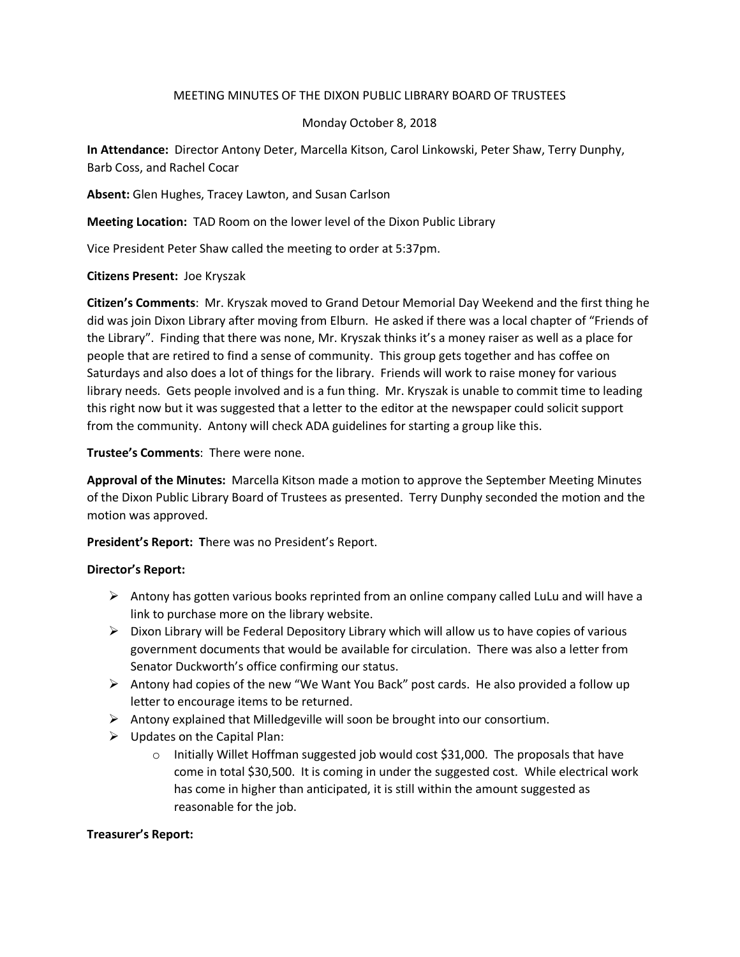## MEETING MINUTES OF THE DIXON PUBLIC LIBRARY BOARD OF TRUSTEES

# Monday October 8, 2018

**In Attendance:** Director Antony Deter, Marcella Kitson, Carol Linkowski, Peter Shaw, Terry Dunphy, Barb Coss, and Rachel Cocar

**Absent:** Glen Hughes, Tracey Lawton, and Susan Carlson

**Meeting Location:** TAD Room on the lower level of the Dixon Public Library

Vice President Peter Shaw called the meeting to order at 5:37pm.

**Citizens Present:** Joe Kryszak

**Citizen's Comments**: Mr. Kryszak moved to Grand Detour Memorial Day Weekend and the first thing he did was join Dixon Library after moving from Elburn. He asked if there was a local chapter of "Friends of the Library". Finding that there was none, Mr. Kryszak thinks it's a money raiser as well as a place for people that are retired to find a sense of community. This group gets together and has coffee on Saturdays and also does a lot of things for the library. Friends will work to raise money for various library needs. Gets people involved and is a fun thing. Mr. Kryszak is unable to commit time to leading this right now but it was suggested that a letter to the editor at the newspaper could solicit support from the community. Antony will check ADA guidelines for starting a group like this.

**Trustee's Comments**: There were none.

**Approval of the Minutes:** Marcella Kitson made a motion to approve the September Meeting Minutes of the Dixon Public Library Board of Trustees as presented. Terry Dunphy seconded the motion and the motion was approved.

**President's Report: T**here was no President's Report.

## **Director's Report:**

- $\triangleright$  Antony has gotten various books reprinted from an online company called LuLu and will have a link to purchase more on the library website.
- $\triangleright$  Dixon Library will be Federal Depository Library which will allow us to have copies of various government documents that would be available for circulation. There was also a letter from Senator Duckworth's office confirming our status.
- Ø Antony had copies of the new "We Want You Back" post cards. He also provided a follow up letter to encourage items to be returned.
- $\triangleright$  Antony explained that Milledgeville will soon be brought into our consortium.
- $\triangleright$  Updates on the Capital Plan:
	- $\circ$  Initially Willet Hoffman suggested job would cost \$31,000. The proposals that have come in total \$30,500. It is coming in under the suggested cost. While electrical work has come in higher than anticipated, it is still within the amount suggested as reasonable for the job.

## **Treasurer's Report:**